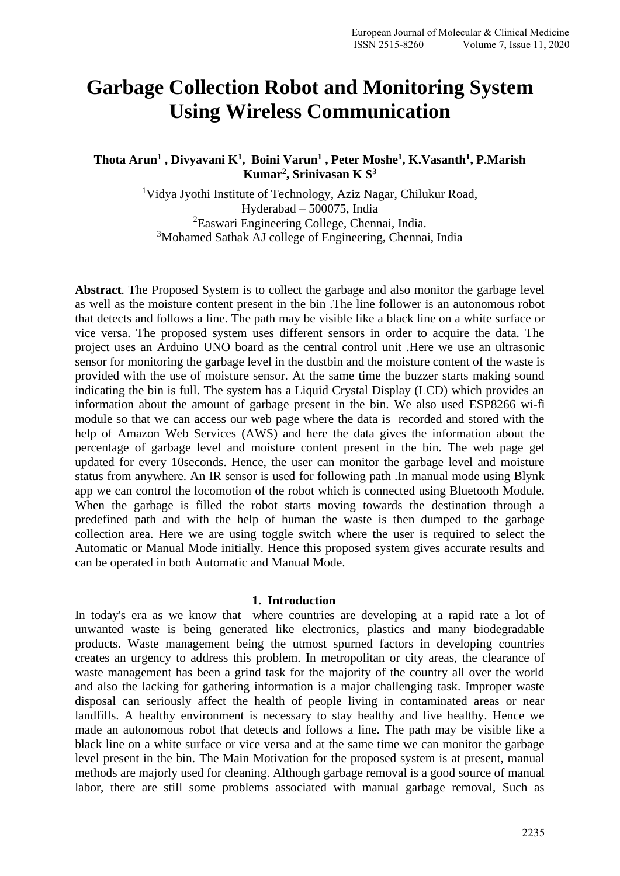# **Garbage Collection Robot and Monitoring System Using Wireless Communication**

**Thota Arun<sup>1</sup> , Divyavani K<sup>1</sup> , Boini Varun<sup>1</sup> , Peter Moshe<sup>1</sup> , K.Vasanth<sup>1</sup> , P.Marish Kumar<sup>2</sup> , Srinivasan K S<sup>3</sup>**

> <sup>1</sup>Vidya Jyothi Institute of Technology, Aziz Nagar, Chilukur Road, Hyderabad – 500075, India <sup>2</sup>Easwari Engineering College, Chennai, India. <sup>3</sup>Mohamed Sathak AJ college of Engineering, Chennai, India

**Abstract**. The Proposed System is to collect the garbage and also monitor the garbage level as well as the moisture content present in the bin .The line follower is an autonomous robot that detects and follows a line. The path may be visible like a black line on a white surface or vice versa. The proposed system uses different sensors in order to acquire the data. The project uses an Arduino UNO board as the central control unit .Here we use an ultrasonic sensor for monitoring the garbage level in the dustbin and the moisture content of the waste is provided with the use of moisture sensor. At the same time the buzzer starts making sound indicating the bin is full. The system has a Liquid Crystal Display (LCD) which provides an information about the amount of garbage present in the bin. We also used ESP8266 wi-fi module so that we can access our web page where the data is recorded and stored with the help of Amazon Web Services (AWS) and here the data gives the information about the percentage of garbage level and moisture content present in the bin. The web page get updated for every 10seconds. Hence, the user can monitor the garbage level and moisture status from anywhere. An IR sensor is used for following path .In manual mode using Blynk app we can control the locomotion of the robot which is connected using Bluetooth Module. When the garbage is filled the robot starts moving towards the destination through a predefined path and with the help of human the waste is then dumped to the garbage collection area. Here we are using toggle switch where the user is required to select the Automatic or Manual Mode initially. Hence this proposed system gives accurate results and can be operated in both Automatic and Manual Mode.

#### **1. Introduction**

In today's era as we know that where countries are developing at a rapid rate a lot of unwanted waste is being generated like electronics, plastics and many biodegradable products. Waste management being the utmost spurned factors in developing countries creates an urgency to address this problem. In metropolitan or city areas, the clearance of waste management has been a grind task for the majority of the country all over the world and also the lacking for gathering information is a major challenging task. Improper waste disposal can seriously affect the health of people living in contaminated areas or near landfills. A healthy environment is necessary to stay healthy and live healthy. Hence we made an autonomous robot that detects and follows a line. The path may be visible like a black line on a white surface or vice versa and at the same time we can monitor the garbage level present in the bin. The Main Motivation for the proposed system is at present, manual methods are majorly used for cleaning. Although garbage removal is a good source of manual labor, there are still some problems associated with manual garbage removal, Such as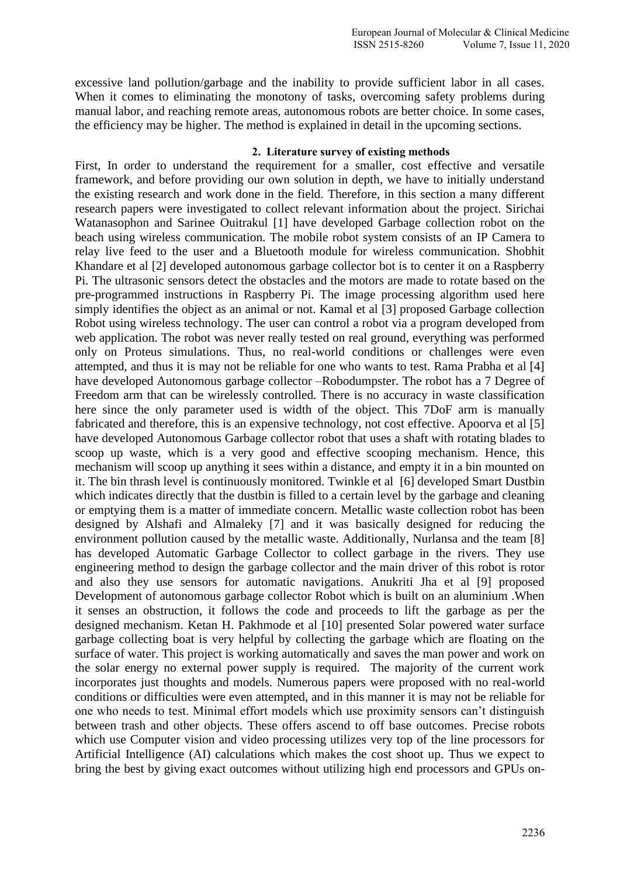excessive land pollution/garbage and the inability to provide sufficient labor in all cases. When it comes to eliminating the monotony of tasks, overcoming safety problems during manual labor, and reaching remote areas, autonomous robots are better choice. In some cases, the efficiency may be higher. The method is explained in detail in the upcoming sections.

#### **2. Literature survey of existing methods**

First, In order to understand the requirement for a smaller, cost effective and versatile framework, and before providing our own solution in depth, we have to initially understand the existing research and work done in the field. Therefore, in this section a many different research papers were investigated to collect relevant information about the project. Sirichai Watanasophon and Sarinee Ouitrakul [1] have developed Garbage collection robot on the beach using wireless communication. The mobile robot system consists of an IP Camera to relay live feed to the user and a Bluetooth module for wireless communication. Shobhit Khandare et al [2] developed autonomous garbage collector bot is to center it on a Raspberry Pi. The ultrasonic sensors detect the obstacles and the motors are made to rotate based on the pre-programmed instructions in Raspberry Pi. The image processing algorithm used here simply identifies the object as an animal or not. Kamal et al [3] proposed Garbage collection Robot using wireless technology. The user can control a robot via a program developed from web application. The robot was never really tested on real ground, everything was performed only on Proteus simulations. Thus, no real-world conditions or challenges were even attempted, and thus it is may not be reliable for one who wants to test. Rama Prabha et al [4] have developed Autonomous garbage collector –Robodumpster. The robot has a 7 Degree of Freedom arm that can be wirelessly controlled. There is no accuracy in waste classification here since the only parameter used is width of the object. This 7DoF arm is manually fabricated and therefore, this is an expensive technology, not cost effective. Apoorva et al [5] have developed Autonomous Garbage collector robot that uses a shaft with rotating blades to scoop up waste, which is a very good and effective scooping mechanism. Hence, this mechanism will scoop up anything it sees within a distance, and empty it in a bin mounted on it. The bin thrash level is continuously monitored. Twinkle et al [6] developed Smart Dustbin which indicates directly that the dustbin is filled to a certain level by the garbage and cleaning or emptying them is a matter of immediate concern. Metallic waste collection robot has been designed by Alshafi and Almaleky [7] and it was basically designed for reducing the environment pollution caused by the metallic waste. Additionally, Nurlansa and the team [8] has developed Automatic Garbage Collector to collect garbage in the rivers. They use engineering method to design the garbage collector and the main driver of this robot is rotor and also they use sensors for automatic navigations. Anukriti Jha et al [9] proposed Development of autonomous garbage collector Robot which is built on an aluminium .When it senses an obstruction, it follows the code and proceeds to lift the garbage as per the designed mechanism. Ketan H. Pakhmode et al [10] presented Solar powered water surface garbage collecting boat is very helpful by collecting the garbage which are floating on the surface of water. This project is working automatically and saves the man power and work on the solar energy no external power supply is required. The majority of the current work incorporates just thoughts and models. Numerous papers were proposed with no real-world conditions or difficulties were even attempted, and in this manner it is may not be reliable for one who needs to test. Minimal effort models which use proximity sensors can't distinguish between trash and other objects. These offers ascend to off base outcomes. Precise robots which use Computer vision and video processing utilizes very top of the line processors for Artificial Intelligence (AI) calculations which makes the cost shoot up. Thus we expect to bring the best by giving exact outcomes without utilizing high end processors and GPUs on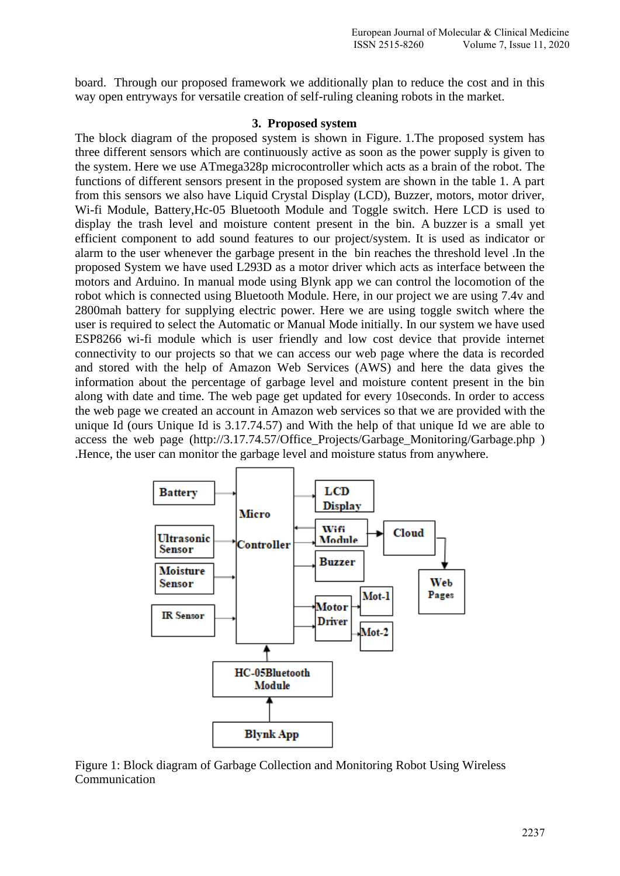board. Through our proposed framework we additionally plan to reduce the cost and in this way open entryways for versatile creation of self-ruling cleaning robots in the market.

#### **3. Proposed system**

The block diagram of the proposed system is shown in Figure. 1.The proposed system has three different sensors which are continuously active as soon as the power supply is given to the system. Here we use ATmega328p microcontroller which acts as a brain of the robot. The functions of different sensors present in the proposed system are shown in the table 1. A part from this sensors we also have Liquid Crystal Display (LCD), Buzzer, motors, motor driver, Wi-fi Module, Battery,Hc-05 Bluetooth Module and Toggle switch. Here LCD is used to display the trash level and moisture content present in the bin. A buzzer is a small yet efficient component to add sound features to our project/system. It is used as indicator or alarm to the user whenever the garbage present in the bin reaches the threshold level .In the proposed System we have used L293D as a motor driver which acts as interface between the motors and Arduino. In manual mode using Blynk app we can control the locomotion of the robot which is connected using Bluetooth Module. Here, in our project we are using 7.4v and 2800mah battery for supplying electric power. Here we are using toggle switch where the user is required to select the Automatic or Manual Mode initially. In our system we have used ESP8266 wi-fi module which is user friendly and low cost device that provide internet connectivity to our projects so that we can access our web page where the data is recorded and stored with the help of Amazon Web Services (AWS) and here the data gives the information about the percentage of garbage level and moisture content present in the bin along with date and time. The web page get updated for every 10seconds. In order to access the web page we created an account in Amazon web services so that we are provided with the unique Id (ours Unique Id is 3.17.74.57) and With the help of that unique Id we are able to access the web page [\(http://3.17.74.57/Office\\_Projects/Garbage\\_Monitoring/Garbage.php](http://3.17.74.57/Office_Projects/Garbage_Monitoring/Garbage.php) ) .Hence, the user can monitor the garbage level and moisture status from anywhere.



Figure 1: Block diagram of Garbage Collection and Monitoring Robot Using Wireless Communication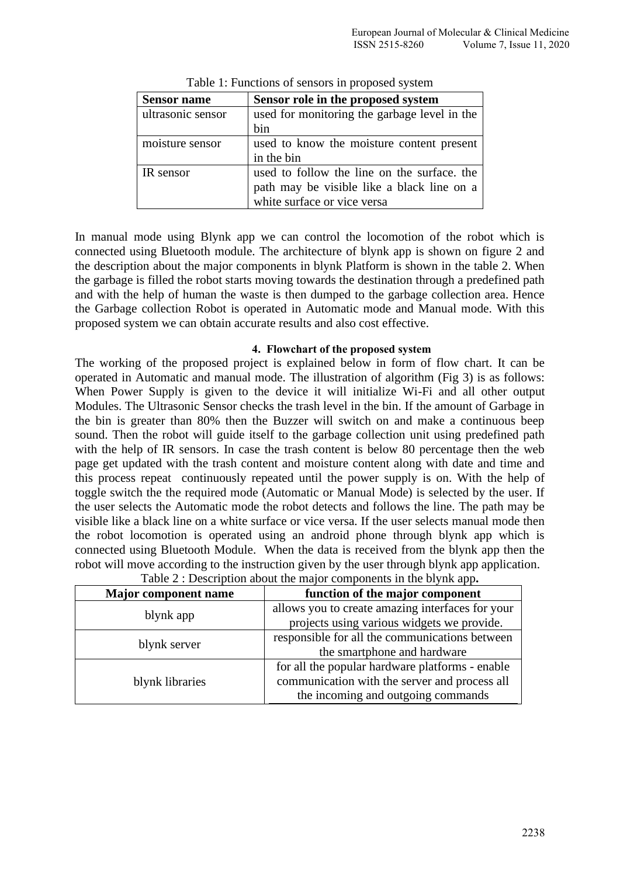| <b>Sensor name</b> | Sensor role in the proposed system           |  |  |
|--------------------|----------------------------------------------|--|--|
| ultrasonic sensor  | used for monitoring the garbage level in the |  |  |
|                    | bin                                          |  |  |
| moisture sensor    | used to know the moisture content present    |  |  |
|                    | in the bin                                   |  |  |
| IR sensor          | used to follow the line on the surface, the  |  |  |
|                    | path may be visible like a black line on a   |  |  |
|                    | white surface or vice versa                  |  |  |

Table 1: Functions of sensors in proposed system

In manual mode using Blynk app we can control the locomotion of the robot which is connected using Bluetooth module. The architecture of blynk app is shown on figure 2 and the description about the major components in blynk Platform is shown in the table 2. When the garbage is filled the robot starts moving towards the destination through a predefined path and with the help of human the waste is then dumped to the garbage collection area. Hence the Garbage collection Robot is operated in Automatic mode and Manual mode. With this proposed system we can obtain accurate results and also cost effective.

#### **4. Flowchart of the proposed system**

The working of the proposed project is explained below in form of flow chart. It can be operated in Automatic and manual mode. The illustration of algorithm (Fig 3) is as follows: When Power Supply is given to the device it will initialize Wi-Fi and all other output Modules. The Ultrasonic Sensor checks the trash level in the bin. If the amount of Garbage in the bin is greater than 80% then the Buzzer will switch on and make a continuous beep sound. Then the robot will guide itself to the garbage collection unit using predefined path with the help of IR sensors. In case the trash content is below 80 percentage then the web page get updated with the trash content and moisture content along with date and time and this process repeat continuously repeated until the power supply is on. With the help of toggle switch the the required mode (Automatic or Manual Mode) is selected by the user. If the user selects the Automatic mode the robot detects and follows the line. The path may be visible like a black line on a white surface or vice versa. If the user selects manual mode then the robot locomotion is operated using an android phone through blynk app which is connected using Bluetooth Module. When the data is received from the blynk app then the robot will move according to the instruction given by the user through blynk app application.

| <b>Major component name</b> | function of the major component                                                                                                        |  |  |
|-----------------------------|----------------------------------------------------------------------------------------------------------------------------------------|--|--|
| blynk app                   | allows you to create amazing interfaces for your<br>projects using various widgets we provide.                                         |  |  |
| blynk server                | responsible for all the communications between<br>the smartphone and hardware                                                          |  |  |
| blynk libraries             | for all the popular hardware platforms - enable<br>communication with the server and process all<br>the incoming and outgoing commands |  |  |

| Table 2 : Description about the major components in the blynk app. |  |  |  |
|--------------------------------------------------------------------|--|--|--|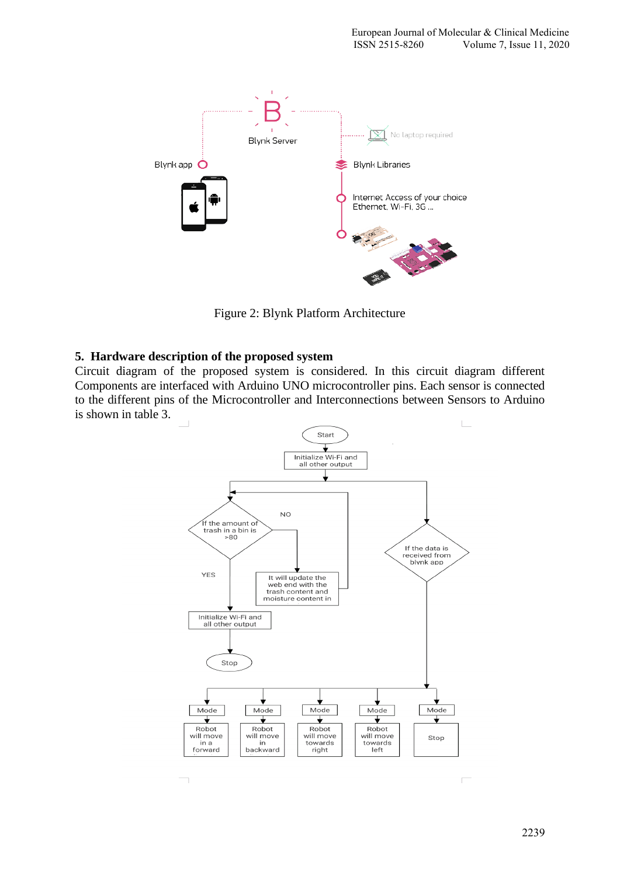

Figure 2: Blynk Platform Architecture

#### **5. Hardware description of the proposed system**

Circuit diagram of the proposed system is considered. In this circuit diagram different Components are interfaced with Arduino UNO microcontroller pins. Each sensor is connected to the different pins of the Microcontroller and Interconnections between Sensors to Arduino is shown in table 3.



 $\Box$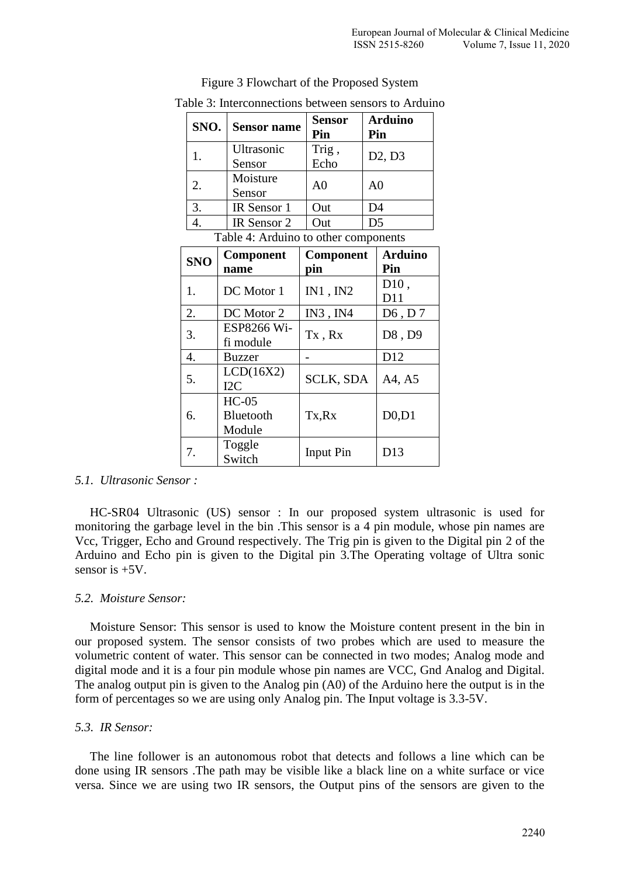|  | SNO.       | <b>Sensor name</b>                   | <b>Sensor</b><br>Pin |                | <b>Arduino</b><br>Pin           |
|--|------------|--------------------------------------|----------------------|----------------|---------------------------------|
|  | 1.         | Ultrasonic<br>Sensor                 | Trig,<br>Echo        |                | D2, D3                          |
|  | 2.         | Moisture<br>Sensor                   | A <sub>0</sub>       | A <sub>0</sub> |                                 |
|  | 3.         | IR Sensor 1                          | Out                  | D <sub>4</sub> |                                 |
|  | 4.         | IR Sensor 2                          | Out                  | D <sub>5</sub> |                                 |
|  |            | Table 4: Arduino to other components |                      |                |                                 |
|  |            | Component                            | Component            |                | <b>Arduino</b>                  |
|  | <b>SNO</b> | name                                 | pin                  |                | Pin                             |
|  | 1.         | DC Motor 1                           | IN1, IN2             |                | D10,<br>D11                     |
|  | 2.         | DC Motor 2                           | IN3, IN4             |                | $D6$ , D7                       |
|  | 3.         | ESP8266 Wi-<br>fi module             | Tx, Rx               |                | D8, D9                          |
|  | 4.         | <b>Buzzer</b>                        |                      |                | D12                             |
|  | 5.         | LCD(16X2)<br>I <sub>2C</sub>         | <b>SCLK, SDA</b>     |                | A4, A5                          |
|  | 6.         | $HC-05$<br>Bluetooth<br>Module       | Tx,Rx                |                | D <sub>0</sub> , D <sub>1</sub> |
|  | 7.         | Toggle<br>Switch                     | <b>Input Pin</b>     |                | D13                             |

Figure 3 Flowchart of the Proposed System

# Table 3: Interconnections between sensors to Arduino

#### *5.1. Ultrasonic Sensor :*

HC-SR04 Ultrasonic (US) sensor : In our proposed system ultrasonic is used for monitoring the garbage level in the bin .This sensor is a 4 pin module, whose pin names are Vcc, Trigger, Echo and Ground respectively. The Trig pin is given to the Digital pin 2 of the Arduino and Echo pin is given to the Digital pin 3.The Operating voltage of Ultra sonic sensor is +5V.

#### *5.2. Moisture Sensor:*

Moisture Sensor: This sensor is used to know the Moisture content present in the bin in our proposed system. The sensor consists of two probes which are used to measure the volumetric content of water. This sensor can be connected in two modes; Analog mode and digital mode and it is a four pin module whose pin names are VCC, Gnd Analog and Digital. The analog output pin is given to the Analog pin (A0) of the Arduino here the output is in the form of percentages so we are using only Analog pin. The Input voltage is 3.3-5V.

#### *5.3. IR Sensor:*

The line follower is an autonomous robot that detects and follows a line which can be done using IR sensors .The path may be visible like a black line on a white surface or vice versa. Since we are using two IR sensors, the Output pins of the sensors are given to the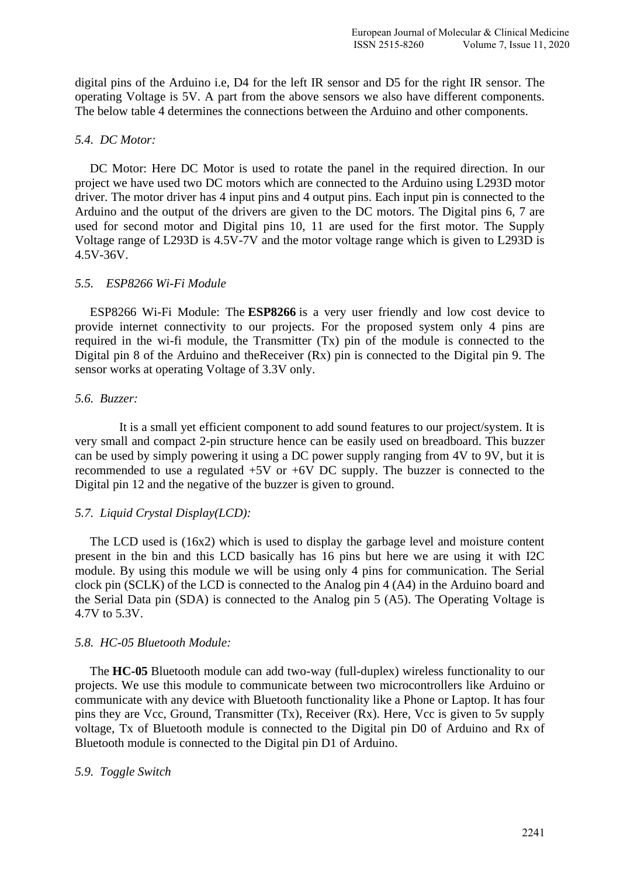digital pins of the Arduino i.e, D4 for the left IR sensor and D5 for the right IR sensor. The operating Voltage is 5V. A part from the above sensors we also have different components. The below table 4 determines the connections between the Arduino and other components.

#### *5.4. DC Motor:*

DC Motor: Here DC Motor is used to rotate the panel in the required direction. In our project we have used two DC motors which are connected to the Arduino using L293D motor driver. The motor driver has 4 input pins and 4 output pins. Each input pin is connected to the Arduino and the output of the drivers are given to the DC motors. The Digital pins 6, 7 are used for second motor and Digital pins 10, 11 are used for the first motor. The Supply Voltage range of L293D is 4.5V-7V and the motor voltage range which is given to L293D is 4.5V-36V.

#### *5.5. ESP8266 Wi-Fi Module*

ESP8266 Wi-Fi Module: The **ESP8266** is a very user friendly and low cost device to provide internet connectivity to our projects. For the proposed system only 4 pins are required in the wi-fi module, the Transmitter (Tx) pin of the module is connected to the Digital pin 8 of the Arduino and theReceiver (Rx) pin is connected to the Digital pin 9. The sensor works at operating Voltage of 3.3V only.

#### *5.6. Buzzer:*

It is a small yet efficient component to add sound features to our project/system. It is very small and compact 2-pin structure hence can be easily used on [breadboard.](https://components101.com/misc/breadboard-connections-uses-guide) This buzzer can be used by simply powering it using a DC power supply ranging from 4V to 9V, but it is recommended to use a regulated +5V or +6V DC supply. The buzzer is connected to the Digital pin 12 and the negative of the buzzer is given to ground.

#### *5.7. Liquid Crystal Display(LCD):*

The LCD used is (16x2) which is used to display the garbage level and moisture content present in the bin and this LCD basically has 16 pins but here we are using it with I2C module. By using this module we will be using only 4 pins for communication. The Serial clock pin (SCLK) of the LCD is connected to the Analog pin 4 (A4) in the Arduino board and the Serial Data pin (SDA) is connected to the Analog pin 5 (A5). The Operating Voltage is 4.7V to 5.3V.

#### *5.8. HC-05 Bluetooth Module:*

The **HC-05** Bluetooth module can add two-way (full-duplex) wireless functionality to our projects. We use this module to communicate between two microcontrollers like Arduino or communicate with any device with Bluetooth functionality like a Phone or Laptop. It has four pins they are Vcc, Ground, Transmitter (Tx), Receiver (Rx). Here, Vcc is given to 5v supply voltage, Tx of Bluetooth module is connected to the Digital pin D0 of Arduino and Rx of Bluetooth module is connected to the Digital pin D1 of Arduino.

#### *5.9. Toggle Switch*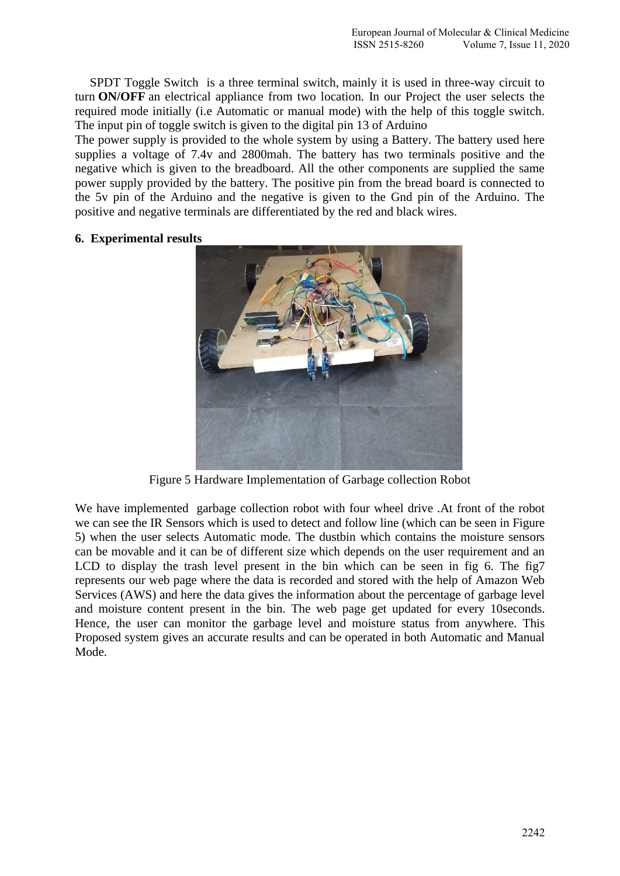SPDT Toggle Switch is a three terminal switch, mainly it is used in three-way circuit to turn **ON/OFF** an electrical appliance from two location. In our Project the user selects the required mode initially (i.e Automatic or manual mode) with the help of this toggle switch. The input pin of toggle switch is given to the digital pin 13 of Arduino

The power supply is provided to the whole system by using a Battery. The battery used here supplies a voltage of 7.4v and 2800mah. The battery has two terminals positive and the negative which is given to the breadboard. All the other components are supplied the same power supply provided by the battery. The positive pin from the bread board is connected to the 5v pin of the Arduino and the negative is given to the Gnd pin of the Arduino. The positive and negative terminals are differentiated by the red and black wires.

#### **6. Experimental results**



Figure 5 Hardware Implementation of Garbage collection Robot

We have implemented garbage collection robot with four wheel drive .At front of the robot we can see the IR Sensors which is used to detect and follow line (which can be seen in Figure 5) when the user selects Automatic mode. The dustbin which contains the moisture sensors can be movable and it can be of different size which depends on the user requirement and an LCD to display the trash level present in the bin which can be seen in fig 6. The fig7 represents our web page where the data is recorded and stored with the help of Amazon Web Services (AWS) and here the data gives the information about the percentage of garbage level and moisture content present in the bin. The web page get updated for every 10seconds. Hence, the user can monitor the garbage level and moisture status from anywhere. This Proposed system gives an accurate results and can be operated in both Automatic and Manual Mode.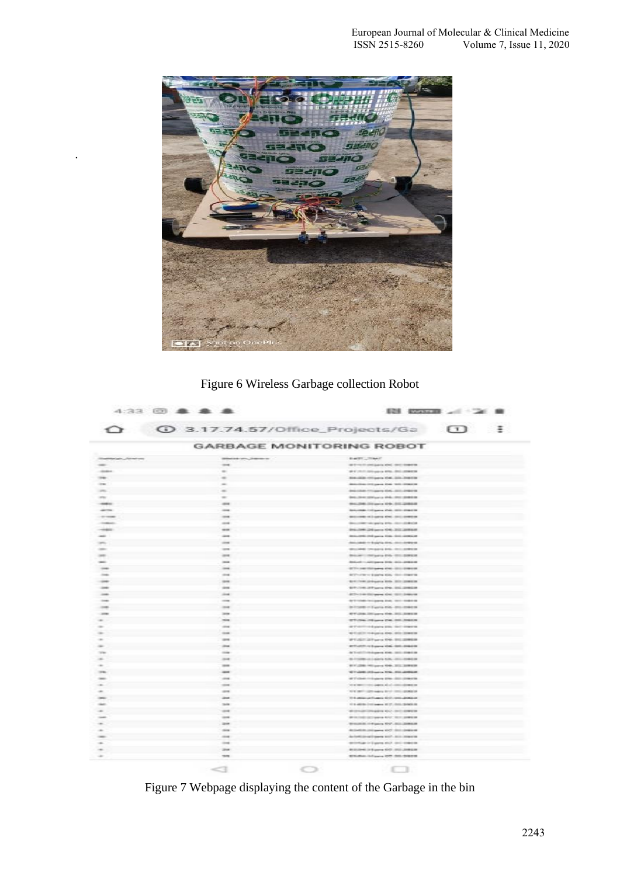

.

# Figure 6 Wireless Garbage collection Robot

| $\rightarrow$      |                      | <b>1</b> 3.17.74.57/Office_Projects/Ga <b>1</b> :                             |  |
|--------------------|----------------------|-------------------------------------------------------------------------------|--|
|                    |                      | <b>GARBAGE MONITORING ROBOT</b>                                               |  |
| <b>MONEY CREWS</b> | placed un, hanno     | <b>BASE CRAFT</b>                                                             |  |
|                    | $-1$                 | as it was to precipie to about your complete.                                 |  |
|                    | $\sim$               | all all colors stationaries are to color comments                             |  |
|                    | $\equiv$             | <b>BALLED (Tigges DA) 222-74618</b>                                           |  |
|                    | $\sim$               | detailed in part for 100 degree                                               |  |
|                    | $\overline{a}$       | dealerships concerned about the content of                                    |  |
|                    | $\sim$               | Bell - Sent SEM Law is Mids - Shill - Shiking                                 |  |
|                    | $-200$               | 04-26-22 per 29-22 2004                                                       |  |
|                    | -                    | bricklide (oligans Drit, 202) prestor                                         |  |
|                    | $\cdots$             | <b>BELLING AT LAPS ON THE SHIPPS</b>                                          |  |
|                    | $-$                  | decompositions pains and channels are                                         |  |
|                    | <b>GROSS</b>         | Drivers 24 perce OK-242 powers                                                |  |
|                    | <b>Since</b>         | designed the party link that thereint                                         |  |
|                    | $\cdots$             | described or browns along concentrates                                        |  |
|                    | $-$                  | Microbile Chicago and chicagonesis                                            |  |
|                    | interest             | descriptions and dealers                                                      |  |
|                    | <b>House</b>         | <b>British C. Gilligans Critic Stills British III</b>                         |  |
|                    | $\cdots$             | <b>SCT-THE STORIES CHE-STOLENHOM</b>                                          |  |
|                    | circum.              | ACTIVITY IS \$1000 \$200, \$310 \$1000 \$1                                    |  |
|                    | <b>SECRE</b>         | MARITIME STRAKER RISK STRUCKERS                                               |  |
|                    | <b>STAR</b>          | \$170,000,000 percent \$540,000,000 \$500.00                                  |  |
|                    | cional.              | deliver on this paper also, this change of                                    |  |
|                    | sing.                | Anti-Volume Institutioners about 1980-1980-00                                 |  |
|                    | $-$                  | de license en disponia sindo desa considera-                                  |  |
|                    | 3004                 | <b>STORED Get the STORES</b>                                                  |  |
|                    | <b>SHE</b>           | ET/De 19 per DE 22,2823                                                       |  |
|                    | $-0.004$             | at the collection degree play that integrate                                  |  |
|                    | tions.               | and continue degrees about their investment                                   |  |
|                    | <b>SILLER</b>        | WILSET AT your DOL: \$10,0000.00                                              |  |
|                    | 204                  | ET-JCT-11 Euros OS 322-24628                                                  |  |
|                    | mia                  | Artistich Military Ave. 2011 Eldrich                                          |  |
|                    | $\cdots$             | to income considers total considers                                           |  |
|                    | <b>STATE</b>         | STORE HOW TO JUNEAU                                                           |  |
|                    | $\sim$               | Windows Schume Kris (2012) 2002 E                                             |  |
|                    | $\cdots$             | of 17 class in Eugene Kins - Still climber in                                 |  |
|                    | $\cdots$             | we are interesting to appear with all contains the parts of                   |  |
|                    | <b>STAR</b>          | the state continuous first concentration                                      |  |
|                    | 2014                 | TO A MODEL CARD WAY \$210 UNITS \$2000.00                                     |  |
|                    | <b>SAFE</b>          | 11.9 ARD By CAST property 30.27, 10.03, 19-9409.00                            |  |
|                    | $\cdots$             | dromationages out only contact                                                |  |
|                    | $-$                  | should all severally for an assessed                                          |  |
|                    | 3000                 | STEERED IN STANDARD ROOM COMPANY                                              |  |
|                    | <b>STORY</b>         | ALCOHOL: UNIVERSITY AND COLLECTIVE                                            |  |
|                    | $-10.4$              | Anderticiproclimates with data conserver                                      |  |
|                    | $\cdots$             | printings in Eigene and Links engines.                                        |  |
|                    | 3000<br><b>TRANS</b> | <b>RISING IT &amp; power CITY (2000) 25</b><br>STRANG Inflame Off this placed |  |

Figure 7 Webpage displaying the content of the Garbage in the bin